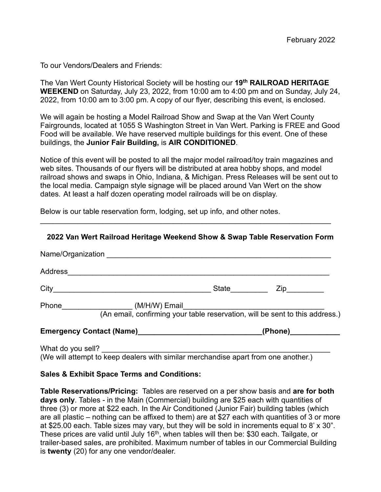To our Vendors/Dealers and Friends:

The Van Wert County Historical Society will be hosting our **19th RAILROAD HERITAGE WEEKEND** on Saturday, July 23, 2022, from 10:00 am to 4:00 pm and on Sunday, July 24, 2022, from 10:00 am to 3:00 pm. A copy of our flyer, describing this event, is enclosed.

We will again be hosting a Model Railroad Show and Swap at the Van Wert County Fairgrounds, located at 1055 S Washington Street in Van Wert. Parking is FREE and Good Food will be available. We have reserved multiple buildings for this event. One of these buildings, the **Junior Fair Building,** is **AIR CONDITIONED**.

Notice of this event will be posted to all the major model railroad/toy train magazines and web sites. Thousands of our flyers will be distributed at area hobby shops, and model railroad shows and swaps in Ohio, Indiana, & Michigan. Press Releases will be sent out to the local media. Campaign style signage will be placed around Van Wert on the show dates. At least a half dozen operating model railroads will be on display.

Below is our table reservation form, lodging, set up info, and other notes.

## **2022 Van Wert Railroad Heritage Weekend Show & Swap Table Reservation Form**

\_\_\_\_\_\_\_\_\_\_\_\_\_\_\_\_\_\_\_\_\_\_\_\_\_\_\_\_\_\_\_\_\_\_\_\_\_\_\_\_\_\_\_\_\_\_\_\_\_\_\_\_\_\_\_\_\_\_\_\_\_\_\_\_\_\_\_\_\_\_

|         | Name/Organization <b>Name</b> Service Service Service Service Service Service Service Service Service Service Service S |                      |                  |
|---------|-------------------------------------------------------------------------------------------------------------------------|----------------------|------------------|
| Address |                                                                                                                         |                      |                  |
|         |                                                                                                                         | <b>State State</b>   | $\mathsf{Zip}\_$ |
|         |                                                                                                                         |                      |                  |
|         |                                                                                                                         | (Phone)_____________ |                  |
|         | (We will attempt to keep dealers with similar merchandise apart from one another.)                                      |                      |                  |

## **Sales & Exhibit Space Terms and Conditions:**

**Table Reservations/Pricing:** Tables are reserved on a per show basis and **are for both days only**. Tables - in the Main (Commercial) building are \$25 each with quantities of three (3) or more at \$22 each. In the Air Conditioned (Junior Fair) building tables (which are all plastic – nothing can be affixed to them) are at \$27 each with quantities of 3 or more at \$25.00 each. Table sizes may vary, but they will be sold in increments equal to 8' x 30". These prices are valid until July 16<sup>th</sup>, when tables will then be: \$30 each. Tailgate, or trailer-based sales, are prohibited. Maximum number of tables in our Commercial Building is **twenty** (20) for any one vendor/dealer.